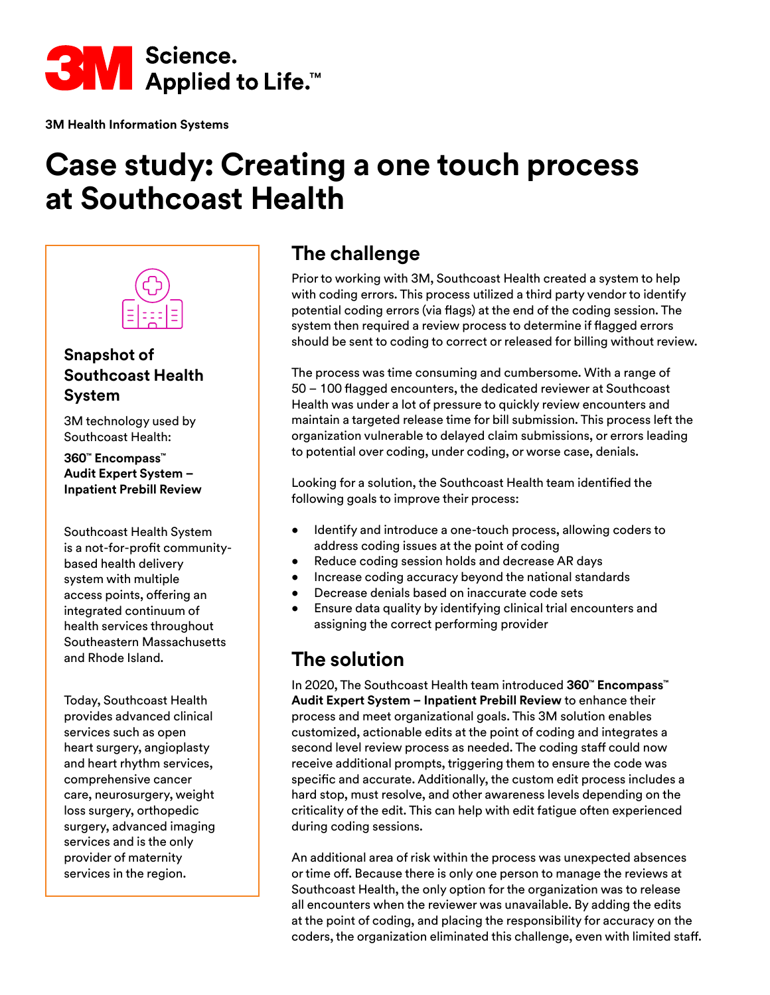

**3M Health Information Systems**

# **Case study: Creating a one touch process at Southcoast Health**



#### **Snapshot of Southcoast Health System**

3M technology used by Southcoast Health:

**360™ Encompass™ Audit Expert System – Inpatient Prebill Review**

Southcoast Health System is a not-for-profit communitybased health delivery system with multiple access points, offering an integrated continuum of health services throughout Southeastern Massachusetts and Rhode Island.

Today, Southcoast Health provides advanced clinical services such as open heart surgery, angioplasty and heart rhythm services, comprehensive cancer care, neurosurgery, weight loss surgery, orthopedic surgery, advanced imaging services and is the only provider of maternity services in the region.

# **The challenge**

Prior to working with 3M, Southcoast Health created a system to help with coding errors. This process utilized a third party vendor to identify potential coding errors (via flags) at the end of the coding session. The system then required a review process to determine if flagged errors should be sent to coding to correct or released for billing without review.

The process was time consuming and cumbersome. With a range of 50 – 100 flagged encounters, the dedicated reviewer at Southcoast Health was under a lot of pressure to quickly review encounters and maintain a targeted release time for bill submission. This process left the organization vulnerable to delayed claim submissions, or errors leading to potential over coding, under coding, or worse case, denials.

Looking for a solution, the Southcoast Health team identified the following goals to improve their process:

- Identify and introduce a one-touch process, allowing coders to address coding issues at the point of coding
- Reduce coding session holds and decrease AR days
- Increase coding accuracy beyond the national standards
- Decrease denials based on inaccurate code sets
- Ensure data quality by identifying clinical trial encounters and assigning the correct performing provider

# **The solution**

In 2020, The Southcoast Health team introduced **360™ Encompass™ Audit Expert System – Inpatient Prebill Review** to enhance their process and meet organizational goals. This 3M solution enables customized, actionable edits at the point of coding and integrates a second level review process as needed. The coding staff could now receive additional prompts, triggering them to ensure the code was specific and accurate. Additionally, the custom edit process includes a hard stop, must resolve, and other awareness levels depending on the criticality of the edit. This can help with edit fatigue often experienced during coding sessions.

An additional area of risk within the process was unexpected absences or time off. Because there is only one person to manage the reviews at Southcoast Health, the only option for the organization was to release all encounters when the reviewer was unavailable. By adding the edits at the point of coding, and placing the responsibility for accuracy on the coders, the organization eliminated this challenge, even with limited staff.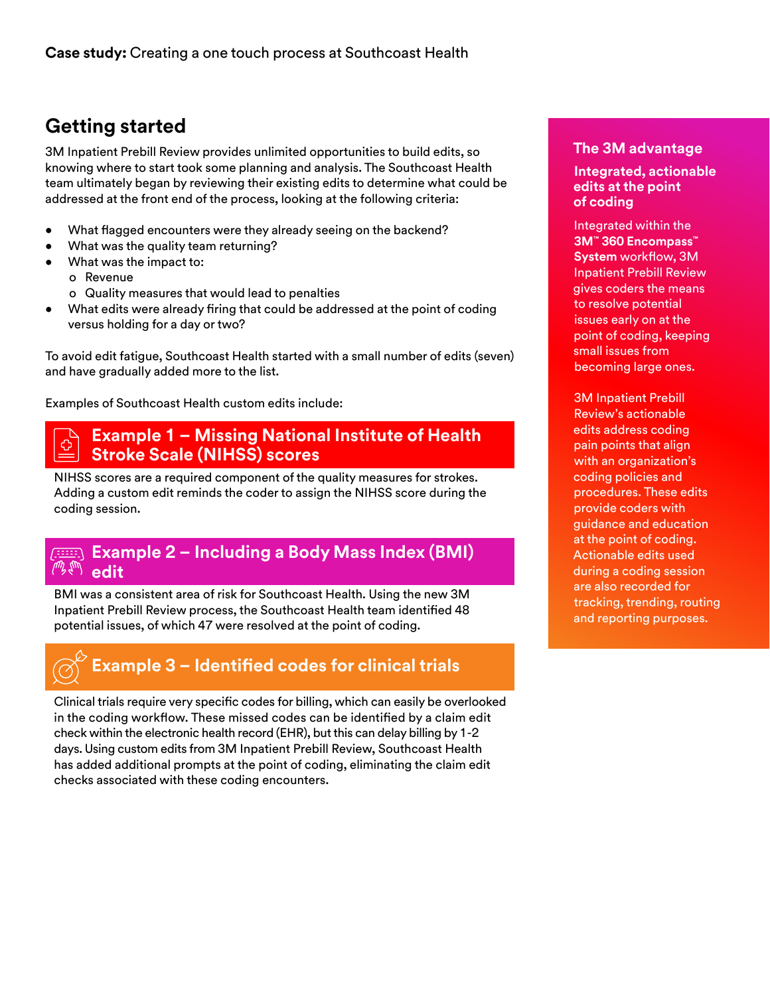# **Getting started**

3M Inpatient Prebill Review provides unlimited opportunities to build edits, so knowing where to start took some planning and analysis. The Southcoast Health team ultimately began by reviewing their existing edits to determine what could be addressed at the front end of the process, looking at the following criteria:

- What flagged encounters were they already seeing on the backend?
- What was the quality team returning?
- What was the impact to:
	- o Revenue
	- o Quality measures that would lead to penalties
- What edits were already firing that could be addressed at the point of coding versus holding for a day or two?

To avoid edit fatigue, Southcoast Health started with a small number of edits (seven) and have gradually added more to the list.

Examples of Southcoast Health custom edits include:

#### **Example 1 – Missing National Institute of Health Stroke Scale (NIHSS) scores**

NIHSS scores are a required component of the quality measures for strokes. Adding a custom edit reminds the coder to assign the NIHSS score during the coding session.

#### **Example 2 – Including a Body Mass Index (BMI) edit**

BMI was a consistent area of risk for Southcoast Health. Using the new 3M Inpatient Prebill Review process, the Southcoast Health team identified 48 potential issues, of which 47 were resolved at the point of coding.



Clinical trials require very specific codes for billing, which can easily be overlooked in the coding workflow. These missed codes can be identified by a claim edit check within the electronic health record (EHR), but this can delay billing by 1-2 days. Using custom edits from 3M Inpatient Prebill Review, Southcoast Health has added additional prompts at the point of coding, eliminating the claim edit checks associated with these coding encounters.

#### **The 3M advantage**

#### **Integrated, actionable edits at the point of coding**

Integrated within the **3M™ 360 Encompass™ System** workflow, 3M Inpatient Prebill Review gives coders the means to resolve potential issues early on at the point of coding, keeping small issues from becoming large ones.

3M Inpatient Prebill Review's actionable edits address coding pain points that align with an organization's coding policies and procedures. These edits provide coders with guidance and education at the point of coding. Actionable edits used during a coding session are also recorded for tracking, trending, routing and reporting purposes.